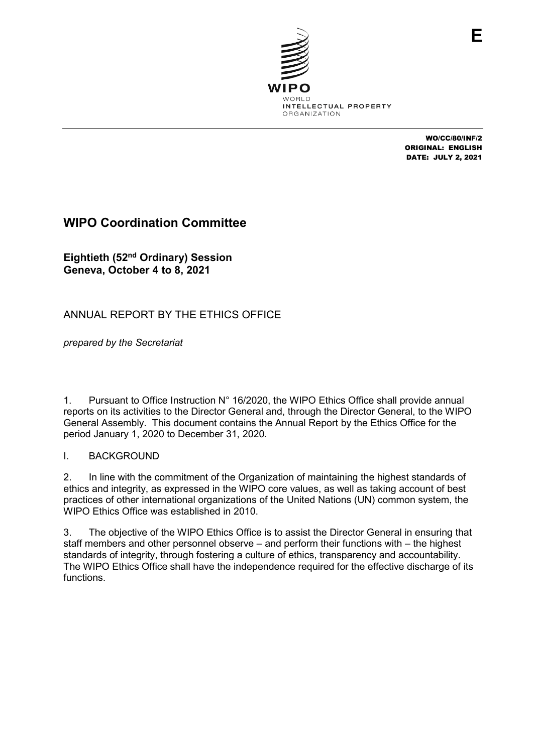

WO/CC/80/INF/2 ORIGINAL: ENGLISH DATE: JULY 2, 2021

F

# **WIPO Coordination Committee**

**Eightieth (52nd Ordinary) Session Geneva, October 4 to 8, 2021**

# ANNUAL REPORT BY THE ETHICS OFFICE

*prepared by the Secretariat*

1. Pursuant to Office Instruction N° 16/2020, the WIPO Ethics Office shall provide annual reports on its activities to the Director General and, through the Director General, to the WIPO General Assembly. This document contains the Annual Report by the Ethics Office for the period January 1, 2020 to December 31, 2020.

# I. BACKGROUND

2. In line with the commitment of the Organization of maintaining the highest standards of ethics and integrity, as expressed in the WIPO core values, as well as taking account of best practices of other international organizations of the United Nations (UN) common system, the WIPO Ethics Office was established in 2010.

3. The objective of the WIPO Ethics Office is to assist the Director General in ensuring that staff members and other personnel observe – and perform their functions with – the highest standards of integrity, through fostering a culture of ethics, transparency and accountability. The WIPO Ethics Office shall have the independence required for the effective discharge of its functions.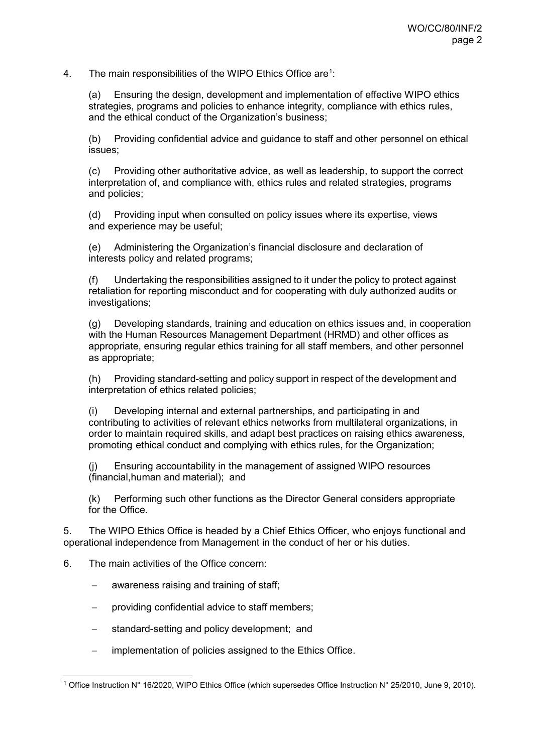4. The main responsibilities of the WIPO Ethics Office are $^1$  $^1$ :

(a) Ensuring the design, development and implementation of effective WIPO ethics strategies, programs and policies to enhance integrity, compliance with ethics rules, and the ethical conduct of the Organization's business;

(b) Providing confidential advice and guidance to staff and other personnel on ethical issues;

(c) Providing other authoritative advice, as well as leadership, to support the correct interpretation of, and compliance with, ethics rules and related strategies, programs and policies;

(d) Providing input when consulted on policy issues where its expertise, views and experience may be useful;

(e) Administering the Organization's financial disclosure and declaration of interests policy and related programs;

(f) Undertaking the responsibilities assigned to it under the policy to protect against retaliation for reporting misconduct and for cooperating with duly authorized audits or investigations;

(g) Developing standards, training and education on ethics issues and, in cooperation with the Human Resources Management Department (HRMD) and other offices as appropriate, ensuring regular ethics training for all staff members, and other personnel as appropriate;

(h) Providing standard-setting and policy support in respect of the development and interpretation of ethics related policies;

(i) Developing internal and external partnerships, and participating in and contributing to activities of relevant ethics networks from multilateral organizations, in order to maintain required skills, and adapt best practices on raising ethics awareness, promoting ethical conduct and complying with ethics rules, for the Organization;

(j) Ensuring accountability in the management of assigned WIPO resources (financial,human and material); and

(k) Performing such other functions as the Director General considers appropriate for the Office.

5. The WIPO Ethics Office is headed by a Chief Ethics Officer, who enjoys functional and operational independence from Management in the conduct of her or his duties.

- 6. The main activities of the Office concern:
	- awareness raising and training of staff;
	- − providing confidential advice to staff members;
	- standard-setting and policy development; and
	- − implementation of policies assigned to the Ethics Office.

<span id="page-1-0"></span> <sup>1</sup> Office Instruction N° 16/2020, WIPO Ethics Office (which supersedes Office Instruction N° 25/2010, June 9, 2010).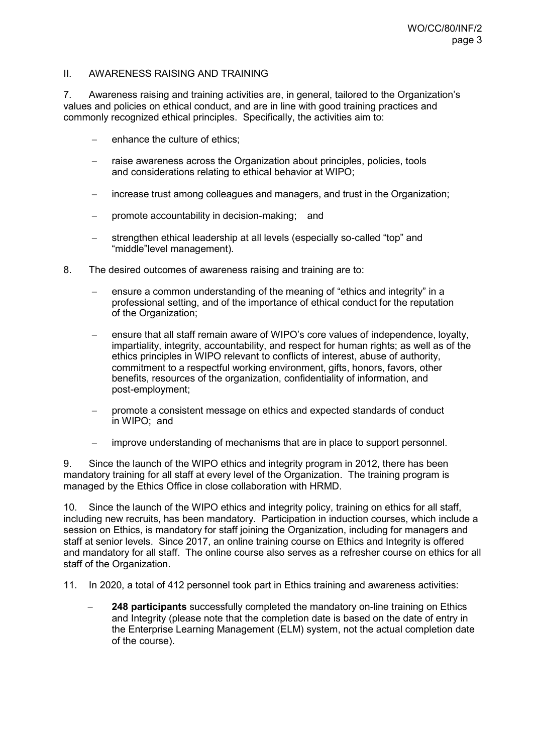#### II. AWARENESS RAISING AND TRAINING

7. Awareness raising and training activities are, in general, tailored to the Organization's values and policies on ethical conduct, and are in line with good training practices and commonly recognized ethical principles. Specifically, the activities aim to:

- enhance the culture of ethics;
- raise awareness across the Organization about principles, policies, tools and considerations relating to ethical behavior at WIPO;
- increase trust among colleagues and managers, and trust in the Organization;
- − promote accountability in decision-making; and
- strengthen ethical leadership at all levels (especially so-called "top" and "middle"level management).
- 8. The desired outcomes of awareness raising and training are to:
	- ensure a common understanding of the meaning of "ethics and integrity" in a professional setting, and of the importance of ethical conduct for the reputation of the Organization;
	- ensure that all staff remain aware of WIPO's core values of independence, loyalty, impartiality, integrity, accountability, and respect for human rights; as well as of the ethics principles in WIPO relevant to conflicts of interest, abuse of authority, commitment to a respectful working environment, gifts, honors, favors, other benefits, resources of the organization, confidentiality of information, and post-employment;
	- − promote a consistent message on ethics and expected standards of conduct in WIPO; and
	- − improve understanding of mechanisms that are in place to support personnel.

9. Since the launch of the WIPO ethics and integrity program in 2012, there has been mandatory training for all staff at every level of the Organization. The training program is managed by the Ethics Office in close collaboration with HRMD.

10. Since the launch of the WIPO ethics and integrity policy, training on ethics for all staff, including new recruits, has been mandatory. Participation in induction courses, which include a session on Ethics, is mandatory for staff joining the Organization, including for managers and staff at senior levels. Since 2017, an online training course on Ethics and Integrity is offered and mandatory for all staff. The online course also serves as a refresher course on ethics for all staff of the Organization.

11. In 2020, a total of 412 personnel took part in Ethics training and awareness activities:

**248 participants** successfully completed the mandatory on-line training on Ethics and Integrity (please note that the completion date is based on the date of entry in the Enterprise Learning Management (ELM) system, not the actual completion date of the course).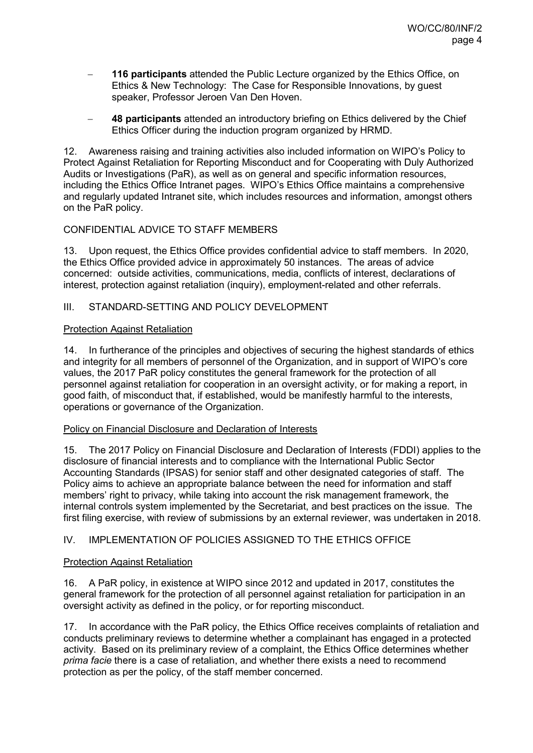- **116 participants** attended the Public Lecture organized by the Ethics Office, on Ethics & New Technology: The Case for Responsible Innovations, by guest speaker, Professor Jeroen Van Den Hoven.
- − **48 participants** attended an introductory briefing on Ethics delivered by the Chief Ethics Officer during the induction program organized by HRMD.

12. Awareness raising and training activities also included information on WIPO's Policy to Protect Against Retaliation for Reporting Misconduct and for Cooperating with Duly Authorized Audits or Investigations (PaR), as well as on general and specific information resources, including the Ethics Office Intranet pages. WIPO's Ethics Office maintains a comprehensive and regularly updated Intranet site, which includes resources and information, amongst others on the PaR policy.

# CONFIDENTIAL ADVICE TO STAFF MEMBERS

13. Upon request, the Ethics Office provides confidential advice to staff members. In 2020, the Ethics Office provided advice in approximately 50 instances. The areas of advice concerned: outside activities, communications, media, conflicts of interest, declarations of interest, protection against retaliation (inquiry), employment-related and other referrals.

# III. STANDARD-SETTING AND POLICY DEVELOPMENT

### Protection Against Retaliation

14. In furtherance of the principles and objectives of securing the highest standards of ethics and integrity for all members of personnel of the Organization, and in support of WIPO's core values, the 2017 PaR policy constitutes the general framework for the protection of all personnel against retaliation for cooperation in an oversight activity, or for making a report, in good faith, of misconduct that, if established, would be manifestly harmful to the interests, operations or governance of the Organization.

### Policy on Financial Disclosure and Declaration of Interests

15. The 2017 Policy on Financial Disclosure and Declaration of Interests (FDDI) applies to the disclosure of financial interests and to compliance with the International Public Sector Accounting Standards (IPSAS) for senior staff and other designated categories of staff. The Policy aims to achieve an appropriate balance between the need for information and staff members' right to privacy, while taking into account the risk management framework, the internal controls system implemented by the Secretariat, and best practices on the issue. The first filing exercise, with review of submissions by an external reviewer, was undertaken in 2018.

# IV. IMPLEMENTATION OF POLICIES ASSIGNED TO THE ETHICS OFFICE

### Protection Against Retaliation

16. A PaR policy, in existence at WIPO since 2012 and updated in 2017, constitutes the general framework for the protection of all personnel against retaliation for participation in an oversight activity as defined in the policy, or for reporting misconduct.

17. In accordance with the PaR policy, the Ethics Office receives complaints of retaliation and conducts preliminary reviews to determine whether a complainant has engaged in a protected activity. Based on its preliminary review of a complaint, the Ethics Office determines whether *prima facie* there is a case of retaliation, and whether there exists a need to recommend protection as per the policy, of the staff member concerned.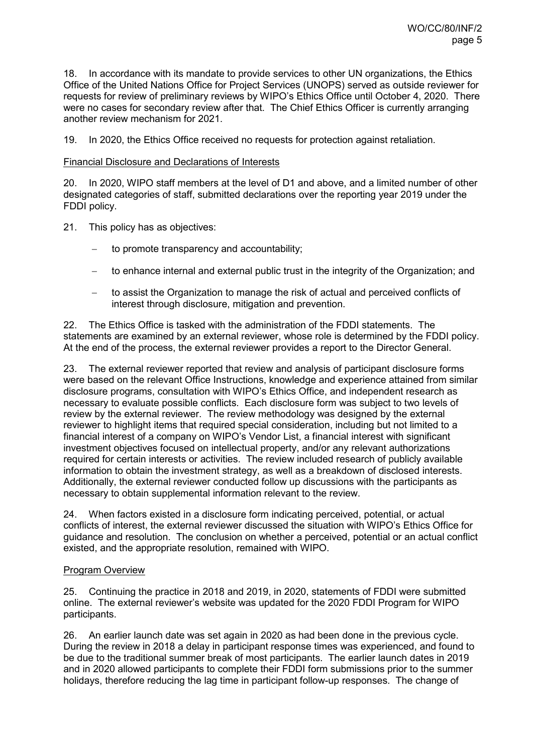18. In accordance with its mandate to provide services to other UN organizations, the Ethics Office of the United Nations Office for Project Services (UNOPS) served as outside reviewer for requests for review of preliminary reviews by WIPO's Ethics Office until October 4, 2020. There were no cases for secondary review after that. The Chief Ethics Officer is currently arranging another review mechanism for 2021.

19. In 2020, the Ethics Office received no requests for protection against retaliation.

#### Financial Disclosure and Declarations of Interests

20. In 2020, WIPO staff members at the level of D1 and above, and a limited number of other designated categories of staff, submitted declarations over the reporting year 2019 under the FDDI policy.

- 21. This policy has as objectives:
	- to promote transparency and accountability;
	- to enhance internal and external public trust in the integrity of the Organization; and
	- − to assist the Organization to manage the risk of actual and perceived conflicts of interest through disclosure, mitigation and prevention.

22. The Ethics Office is tasked with the administration of the FDDI statements. The statements are examined by an external reviewer, whose role is determined by the FDDI policy. At the end of the process, the external reviewer provides a report to the Director General.

23. The external reviewer reported that review and analysis of participant disclosure forms were based on the relevant Office Instructions, knowledge and experience attained from similar disclosure programs, consultation with WIPO's Ethics Office, and independent research as necessary to evaluate possible conflicts. Each disclosure form was subject to two levels of review by the external reviewer. The review methodology was designed by the external reviewer to highlight items that required special consideration, including but not limited to a financial interest of a company on WIPO's Vendor List, a financial interest with significant investment objectives focused on intellectual property, and/or any relevant authorizations required for certain interests or activities. The review included research of publicly available information to obtain the investment strategy, as well as a breakdown of disclosed interests. Additionally, the external reviewer conducted follow up discussions with the participants as necessary to obtain supplemental information relevant to the review.

24. When factors existed in a disclosure form indicating perceived, potential, or actual conflicts of interest, the external reviewer discussed the situation with WIPO's Ethics Office for guidance and resolution. The conclusion on whether a perceived, potential or an actual conflict existed, and the appropriate resolution, remained with WIPO.

#### Program Overview

25. Continuing the practice in 2018 and 2019, in 2020, statements of FDDI were submitted online. The external reviewer's website was updated for the 2020 FDDI Program for WIPO participants.

26. An earlier launch date was set again in 2020 as had been done in the previous cycle. During the review in 2018 a delay in participant response times was experienced, and found to be due to the traditional summer break of most participants. The earlier launch dates in 2019 and in 2020 allowed participants to complete their FDDI form submissions prior to the summer holidays, therefore reducing the lag time in participant follow-up responses. The change of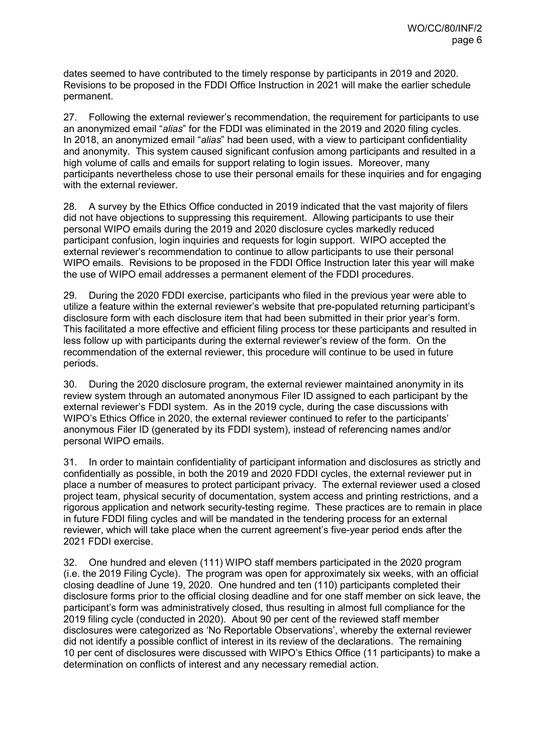dates seemed to have contributed to the timely response by participants in 2019 and 2020. Revisions to be proposed in the FDDI Office Instruction in 2021 will make the earlier schedule permanent.

27. Following the external reviewer's recommendation, the requirement for participants to use an anonymized email "*alias*" for the FDDI was eliminated in the 2019 and 2020 filing cycles. In 2018, an anonymized email "*alias*" had been used, with a view to participant confidentiality and anonymity. This system caused significant confusion among participants and resulted in a high volume of calls and emails for support relating to login issues. Moreover, many participants nevertheless chose to use their personal emails for these inquiries and for engaging with the external reviewer.

28. A survey by the Ethics Office conducted in 2019 indicated that the vast majority of filers did not have objections to suppressing this requirement. Allowing participants to use their personal WIPO emails during the 2019 and 2020 disclosure cycles markedly reduced participant confusion, login inquiries and requests for login support. WIPO accepted the external reviewer's recommendation to continue to allow participants to use their personal WIPO emails. Revisions to be proposed in the FDDI Office Instruction later this year will make the use of WIPO email addresses a permanent element of the FDDI procedures.

29. During the 2020 FDDI exercise, participants who filed in the previous year were able to utilize a feature within the external reviewer's website that pre-populated returning participant's disclosure form with each disclosure item that had been submitted in their prior year's form. This facilitated a more effective and efficient filing process tor these participants and resulted in less follow up with participants during the external reviewer's review of the form. On the recommendation of the external reviewer, this procedure will continue to be used in future periods.

30. During the 2020 disclosure program, the external reviewer maintained anonymity in its review system through an automated anonymous Filer ID assigned to each participant by the external reviewer's FDDI system. As in the 2019 cycle, during the case discussions with WIPO's Ethics Office in 2020, the external reviewer continued to refer to the participants' anonymous Filer ID (generated by its FDDI system), instead of referencing names and/or personal WIPO emails.

31. In order to maintain confidentiality of participant information and disclosures as strictly and confidentially as possible, in both the 2019 and 2020 FDDI cycles, the external reviewer put in place a number of measures to protect participant privacy. The external reviewer used a closed project team, physical security of documentation, system access and printing restrictions, and a rigorous application and network security-testing regime. These practices are to remain in place in future FDDI filing cycles and will be mandated in the tendering process for an external reviewer, which will take place when the current agreement's five-year period ends after the 2021 FDDI exercise.

32. One hundred and eleven (111) WIPO staff members participated in the 2020 program (i.e. the 2019 Filing Cycle). The program was open for approximately six weeks, with an official closing deadline of June 19, 2020. One hundred and ten (110) participants completed their disclosure forms prior to the official closing deadline and for one staff member on sick leave, the participant's form was administratively closed, thus resulting in almost full compliance for the 2019 filing cycle (conducted in 2020). About 90 per cent of the reviewed staff member disclosures were categorized as 'No Reportable Observations', whereby the external reviewer did not identify a possible conflict of interest in its review of the declarations. The remaining 10 per cent of disclosures were discussed with WIPO's Ethics Office (11 participants) to make a determination on conflicts of interest and any necessary remedial action.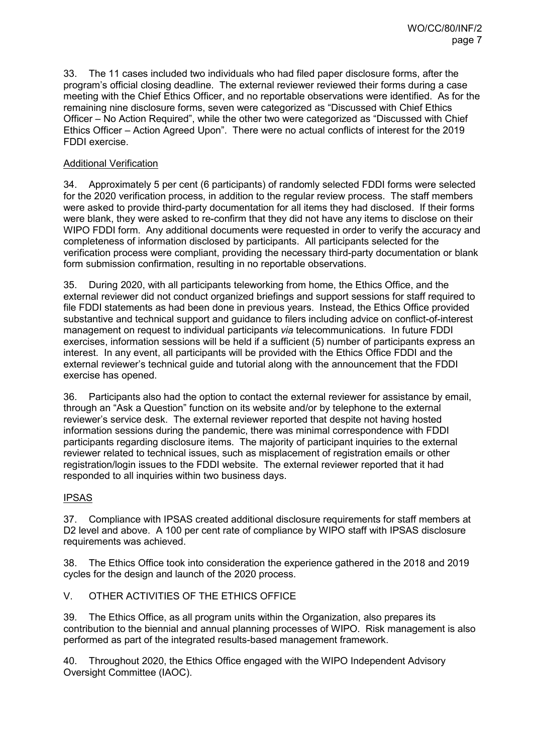33. The 11 cases included two individuals who had filed paper disclosure forms, after the program's official closing deadline. The external reviewer reviewed their forms during a case meeting with the Chief Ethics Officer, and no reportable observations were identified. As for the remaining nine disclosure forms, seven were categorized as "Discussed with Chief Ethics Officer – No Action Required", while the other two were categorized as "Discussed with Chief Ethics Officer – Action Agreed Upon". There were no actual conflicts of interest for the 2019 FDDI exercise.

### Additional Verification

34. Approximately 5 per cent (6 participants) of randomly selected FDDI forms were selected for the 2020 verification process, in addition to the regular review process. The staff members were asked to provide third-party documentation for all items they had disclosed. If their forms were blank, they were asked to re-confirm that they did not have any items to disclose on their WIPO FDDI form. Any additional documents were requested in order to verify the accuracy and completeness of information disclosed by participants. All participants selected for the verification process were compliant, providing the necessary third-party documentation or blank form submission confirmation, resulting in no reportable observations.

35. During 2020, with all participants teleworking from home, the Ethics Office, and the external reviewer did not conduct organized briefings and support sessions for staff required to file FDDI statements as had been done in previous years. Instead, the Ethics Office provided substantive and technical support and guidance to filers including advice on conflict-of-interest management on request to individual participants *via* telecommunications. In future FDDI exercises, information sessions will be held if a sufficient (5) number of participants express an interest. In any event, all participants will be provided with the Ethics Office FDDI and the external reviewer's technical guide and tutorial along with the announcement that the FDDI exercise has opened.

36. Participants also had the option to contact the external reviewer for assistance by email, through an "Ask a Question" function on its website and/or by telephone to the external reviewer's service desk. The external reviewer reported that despite not having hosted information sessions during the pandemic, there was minimal correspondence with FDDI participants regarding disclosure items. The majority of participant inquiries to the external reviewer related to technical issues, such as misplacement of registration emails or other registration/login issues to the FDDI website. The external reviewer reported that it had responded to all inquiries within two business days.

#### IPSAS

37. Compliance with IPSAS created additional disclosure requirements for staff members at D2 level and above. A 100 per cent rate of compliance by WIPO staff with IPSAS disclosure requirements was achieved.

38. The Ethics Office took into consideration the experience gathered in the 2018 and 2019 cycles for the design and launch of the 2020 process.

V. OTHER ACTIVITIES OF THE ETHICS OFFICE

39. The Ethics Office, as all program units within the Organization, also prepares its contribution to the biennial and annual planning processes of WIPO. Risk management is also performed as part of the integrated results-based management framework.

40. Throughout 2020, the Ethics Office engaged with the WIPO Independent Advisory Oversight Committee (IAOC).